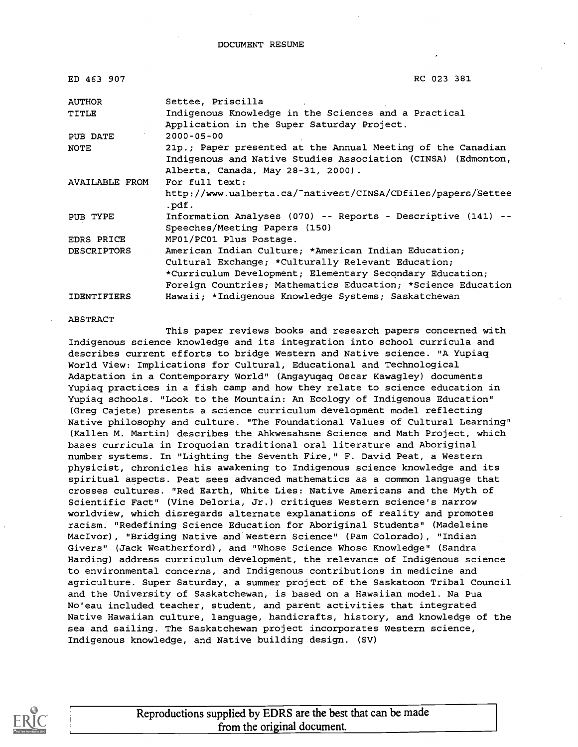| ED 463 907         | RC 023 381                                                                                                                                                                                                                             |  |
|--------------------|----------------------------------------------------------------------------------------------------------------------------------------------------------------------------------------------------------------------------------------|--|
| AUTHOR             | Settee, Priscilla                                                                                                                                                                                                                      |  |
| TITLE              | Indigenous Knowledge in the Sciences and a Practical<br>Application in the Super Saturday Project.                                                                                                                                     |  |
| PUB DATE           | $2000 - 05 - 00$                                                                                                                                                                                                                       |  |
| <b>NOTE</b>        | 21p.; Paper presented at the Annual Meeting of the Canadian<br>Indigenous and Native Studies Association (CINSA) (Edmonton,<br>Alberta, Canada, May 28-31, 2000).                                                                      |  |
| AVAILABLE FROM     | For full text:<br>http://www.ualberta.ca/~nativest/CINSA/CDfiles/papers/Settee<br>.pdf.                                                                                                                                                |  |
| PUB TYPE           | Information Analyses (070) -- Reports - Descriptive (141) --<br>Speeches/Meeting Papers (150)                                                                                                                                          |  |
| <b>EDRS PRICE</b>  | MF01/PC01 Plus Postage.                                                                                                                                                                                                                |  |
| <b>DESCRIPTORS</b> | American Indian Culture; *American Indian Education;<br>Cultural Exchange; *Culturally Relevant Education;<br>*Curriculum Development; Elementary Secondary Education;<br>Foreign Countries; Mathematics Education; *Science Education |  |
| <b>IDENTIFIERS</b> | Hawaii; *Indigenous Knowledge Systems; Saskatchewan                                                                                                                                                                                    |  |

#### ABSTRACT

This paper reviews books and research papers concerned with Indigenous science knowledge and its integration into school curricula and describes current efforts to bridge Western and Native science. "A Yupiaq World View: Implications for Cultural, Educational and Technological Adaptation in a Contemporary World" (Angayuqaq Oscar Kawagley) documents Yupiaq practices in a fish camp and how they relate to science education in Yupiaq schools. "Look to the Mountain: An Ecology of Indigenous Education" (Greg Cajete) presents a science curriculum development model reflecting Native philosophy and culture. "The Foundational Values of Cultural Learning" (Kallen M. Martin) describes the Ahkwesahsne Science and Math Project, which bases curricula in Iroquoian traditional oral literature and Aboriginal number systems. In "Lighting the Seventh Fire," F. David Peat, a Western physicist, chronicles his awakening to Indigenous science knowledge and its spiritual aspects. Peat sees advanced mathematics as a common language that crosses cultures. "Red Earth, White Lies: Native Americans and the Myth of Scientific Fact" (Vine Deloria, Jr.) critiques Western science's narrow worldview, which disregards alternate explanations of reality and promotes racism. "Redefining Science Education for Aboriginal Students" (Madeleine MacIvor), "Bridging Native and Western Science" (Pam Colorado), "Indian Givers" (Jack Weatherford), and "Whose Science Whose Knowledge" (Sandra Harding) address curriculum development, the relevance of Indigenous science to environmental concerns, and Indigenous contributions in medicine and agriculture. Super Saturday, a summer project of the Saskatoon Tribal Council and the University of Saskatchewan, is based on a Hawaiian model. Na Pua No'eau included teacher, student, and parent activities that integrated Native Hawaiian culture, language, handicrafts, history, and knowledge of the sea and sailing. The Saskatchewan project incorporates Western science, Indigenous knowledge, and Native building design. (SV)



Reproductions supplied by EDRS are the best that can be made from the original document.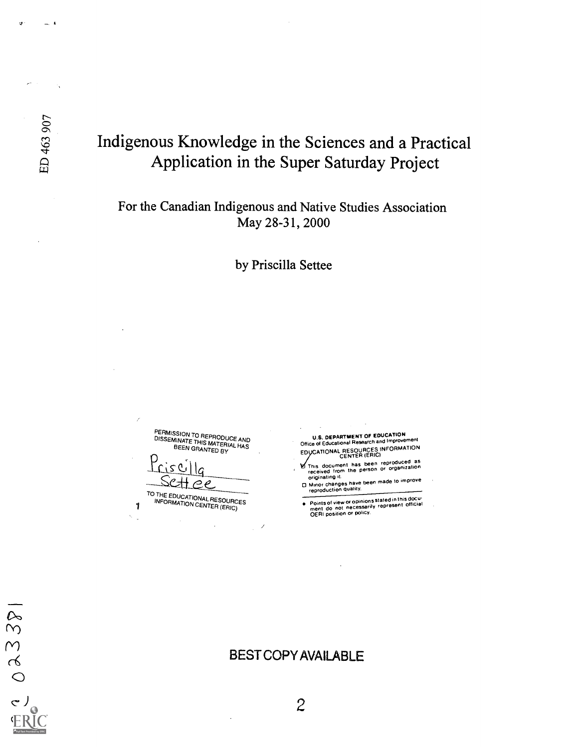$2381$ 

 $\circ$ 

a

# Indigenous Knowledge in the Sciences and a Practical Application in the Super Saturday Project

### For the Canadian Indigenous and Native Studies Association May 28-31, 2000

by Priscilla Settee

PERMISSION TO REPRODUCE AND<br>DISSEMINATE THIS MATERIAL HAS<br>BEEN GRANTED BY

 $P$ risc $1|q$ 

**TO THE EDUCATIONAL RESOURCES** INFORMATION CENTER (ERIC)

U.S. DEPARTMENT OF EDUCATION<br>Office of Educational Research and Improvement EDVCATIONAL RESOURCES INFORMATION CENTER (ERIC)

I This document has been reproduced as<br>received from the person or organization<br>originating it.

Unior changes have been made to improve<br>  $\Box$  Minor changes have been made to improve

Points of view or opinions stated in this docu- ment do not necessarily represent off icial OERI position or coacy.

### BEST COPY AVAILABLE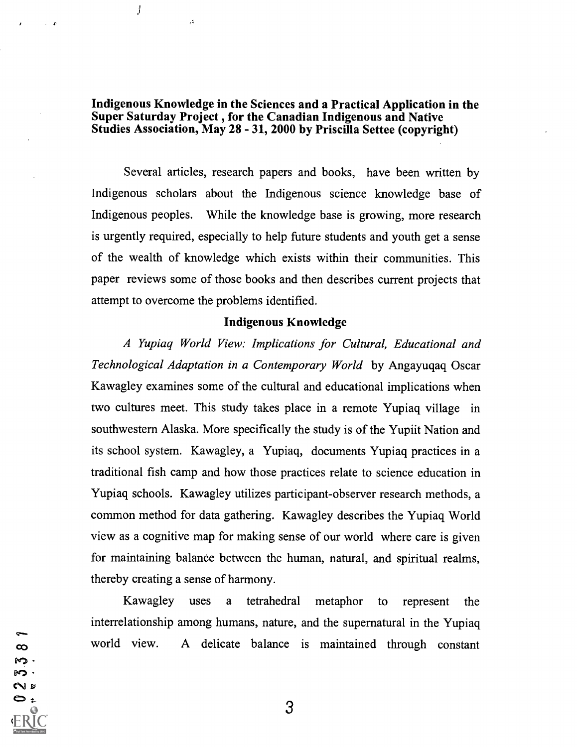Indigenous Knowledge in the Sciences and a Practical Application in the Super Saturday Project , for the Canadian Indigenous and Native Studies Association, May 28 - 31, 2000 by Priscilla Settee (copyright)

 $\int$ 

S N 8  $, 3$ 

Several articles, research papers and books, have been written by Indigenous scholars about the Indigenous science knowledge base of Indigenous peoples. While the knowledge base is growing, more research is urgently required, especially to help future students and youth get a sense of the wealth of knowledge which exists within their communities. This paper reviews some of those books and then describes current projects that attempt to overcome the problems identified.

#### Indigenous Knowledge

A Yupiaq World View: Implications for Cultural, Educational and Technological Adaptation in a Contemporary World by Angayuqaq Oscar Kawagley examines some of the cultural and educational implications when two cultures meet. This study takes place in a remote Yupiaq village in southwestern Alaska. More specifically the study is of the Yupiit Nation and its school system. Kawagley, a Yupiaq, documents Yupiaq practices in a traditional fish camp and how those practices relate to science education in Yupiaq schools. Kawagley utilizes participant-observer research methods, a common method for data gathering. Kawagley describes the Yupiaq World view as a cognitive map for making sense of our world where care is given for maintaining balance between the human, natural, and spiritual realms, thereby creating a sense of harmony.

Kawagley uses a tetrahedral metaphor to represent the interrelationship among humans, nature, and the supernatural in the Yupiaq world view. A delicate balance is maintained through constant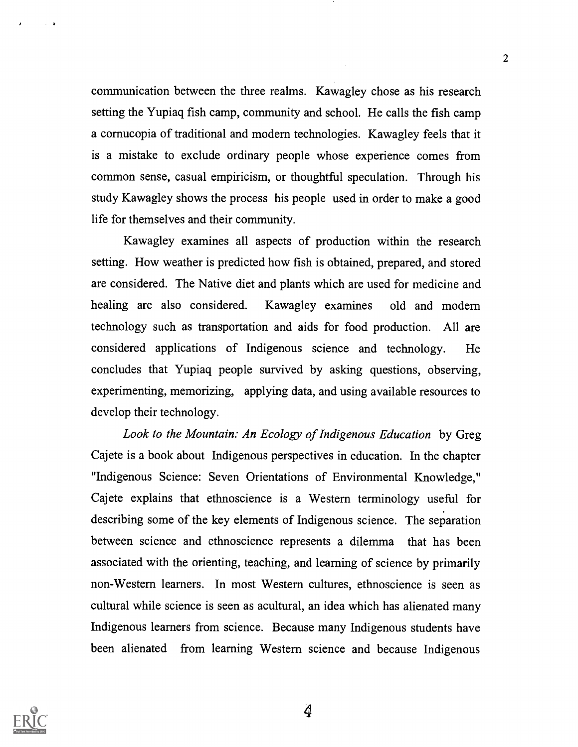communication between the three realms. Kawagley chose as his research setting the Yupiaq fish camp, community and school. He calls the fish camp a cornucopia of traditional and modern technologies. Kawagley feels that it is a mistake to exclude ordinary people whose experience comes from common sense, casual empiricism, or thoughtful speculation. Through his study Kawagley shows the process his people used in order to make a good life for themselves and their community.

2

Kawagley examines all aspects of production within the research setting. How weather is predicted how fish is obtained, prepared, and stored are considered. The Native diet and plants which are used for medicine and healing are also considered. Kawagley examines old and modern technology such as transportation and aids for food production. All are considered applications of Indigenous science and technology. He concludes that Yupiaq people survived by asking questions, observing, experimenting, memorizing, applying data, and using available resources to develop their technology.

Look to the Mountain: An Ecology of Indigenous Education by Greg Cajete is a book about Indigenous perspectives in education. In the chapter "Indigenous Science: Seven Orientations of Environmental Knowledge," Cajete explains that ethnoscience is a Western terminology useful for describing some of the key elements of Indigenous science. The separation between science and ethnoscience represents a dilemma that has been associated with the orienting, teaching, and learning of science by primarily non-Western learners. In most Western cultures, ethnoscience is seen as cultural while science is seen as acultural, an idea which has alienated many Indigenous learners from science. Because many Indigenous students have been alienated from learning Western science and because Indigenous

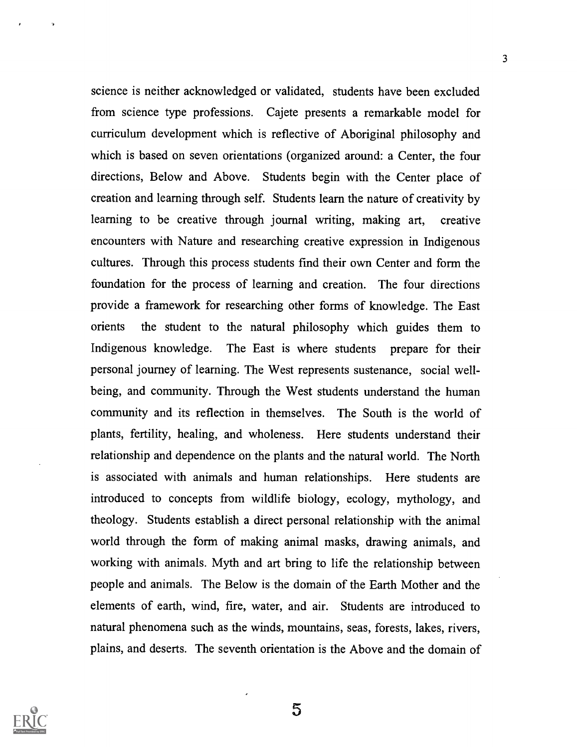science is neither acknowledged or validated, students have been excluded from science type professions. Cajete presents a remarkable model for curriculum development which is reflective of Aboriginal philosophy and which is based on seven orientations (organized around: a Center, the four directions, Below and Above. Students begin with the Center place of creation and learning through self. Students learn the nature of creativity by learning to be creative through journal writing, making art, creative encounters with Nature and researching creative expression in Indigenous cultures. Through this process students find their own Center and form the foundation for the process of learning and creation. The four directions provide a framework for researching other forms of knowledge. The East orients the student to the natural philosophy which guides them to Indigenous knowledge. The East is where students prepare for their personal journey of learning. The West represents sustenance, social wellbeing, and community. Through the West students understand the human community and its reflection in themselves. The South is the world of plants, fertility, healing, and wholeness. Here students understand their relationship and dependence on the plants and the natural world. The North is associated with animals and human relationships. Here students are introduced to concepts from wildlife biology, ecology, mythology, and theology. Students establish a direct personal relationship with the animal world through the form of making animal masks, drawing animals, and working with animals. Myth and art bring to life the relationship between people and animals. The Below is the domain of the Earth Mother and the elements of earth, wind, fire, water, and air. Students are introduced to natural phenomena such as the winds, mountains, seas, forests, lakes, rivers, plains, and deserts. The seventh orientation is the Above and the domain of

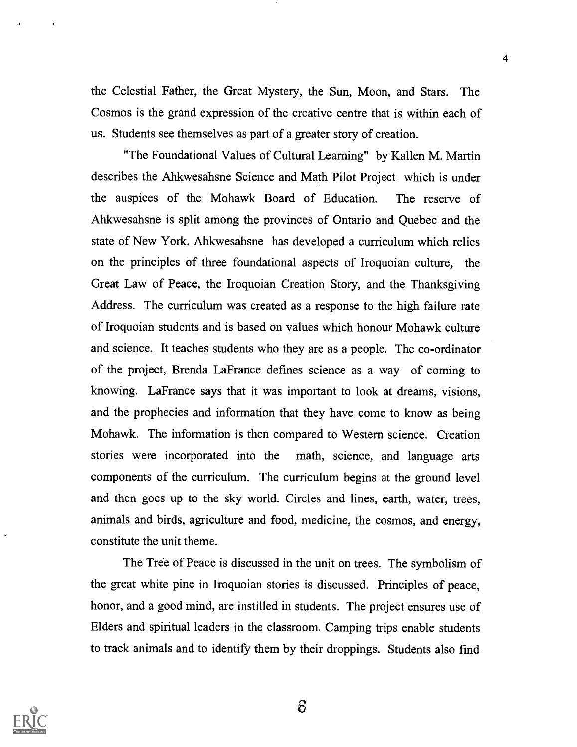the Celestial Father, the Great Mystery, the Sun, Moon, and Stars. The Cosmos is the grand expression of the creative centre that is within each of us. Students see themselves as part of a greater story of creation.

"The Foundational Values of Cultural Learning" by Kallen M. Martin describes the Ahkwesahsne Science and Math Pilot Project which is under the auspices of the Mohawk Board of Education. The reserve of Ahkwesahsne is split among the provinces of Ontario and Quebec and the state of New York. Ahkwesahsne has developed a curriculum which relies on the principles of three foundational aspects of Iroquoian culture, the Great Law of Peace, the Iroquoian Creation Story, and the Thanksgiving Address. The curriculum was created as a response to the high failure rate of Iroquoian students and is based on values which honour Mohawk culture and science. It teaches students who they are as a people. The co-ordinator of the project, Brenda La France defines science as a way of coming to knowing. LaFrance says that it was important to look at dreams, visions, and the prophecies and information that they have come to know as being Mohawk. The information is then compared to Western science. Creation stories were incorporated into the math, science, and language arts components of the curriculum. The curriculum begins at the ground level and then goes up to the sky world. Circles and lines, earth, water, trees, animals and birds, agriculture and food, medicine, the cosmos, and energy, constitute the unit theme.

The Tree of Peace is discussed in the unit on trees. The symbolism of the great white pine in Iroquoian stories is discussed. Principles of peace, honor, and a good mind, are instilled in students. The project ensures use of Elders and spiritual leaders in the classroom. Camping trips enable students to track animals and to identify them by their droppings. Students also find

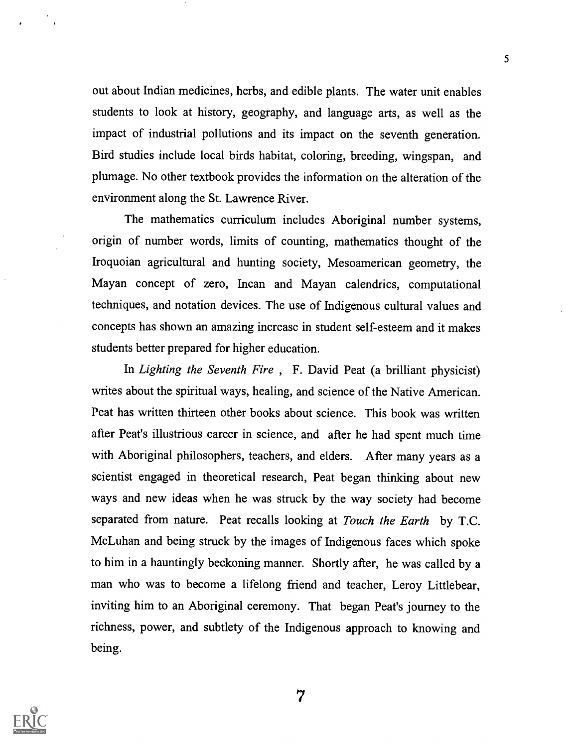out about Indian medicines, herbs, and edible plants. The water unit enables students to look at history, geography, and language arts, as well as the impact of industrial pollutions and its impact on the seventh generation. Bird studies include local birds habitat, coloring, breeding, wingspan, and plumage. No other textbook provides the information on the alteration of the environment along the St. Lawrence River.

The mathematics curriculum includes Aboriginal number systems, origin of number words, limits of counting, mathematics thought of the Iroquoian agricultural and hunting society, Mesoamerican geometry, the Mayan concept of zero, Incan and Mayan calendrics, computational techniques, and notation devices. The use of Indigenous cultural values and concepts has shown an amazing increase in student self-esteem and it makes students better prepared for higher education.

In *Lighting the Seventh Fire*, F. David Peat (a brilliant physicist) writes about the spiritual ways, healing, and science of the Native American. Peat has written thirteen other books about science. This book was written after Peat's illustrious career in science, and after he had spent much time with Aboriginal philosophers, teachers, and elders. After many years as a scientist engaged in theoretical research, Peat began thinking about new ways and new ideas when he was struck by the way society had become separated from nature. Peat recalls looking at Touch the Earth by T.C. McLuhan and being struck by the images of Indigenous faces which spoke to him in a hauntingly beckoning manner. Shortly after, he was called by a man who was to become a lifelong friend and teacher, Leroy Littlebear, inviting him to an Aboriginal ceremony. That began Peat's journey to the richness, power, and subtlety of the Indigenous approach to knowing and being.

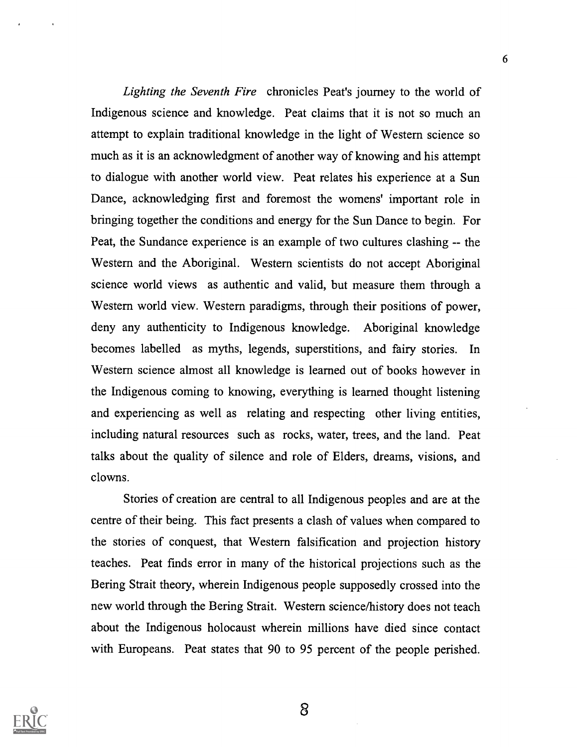Lighting the Seventh Fire chronicles Peat's journey to the world of Indigenous science and knowledge. Peat claims that it is not so much an attempt to explain traditional knowledge in the light of Western science so much as it is an acknowledgment of another way of knowing and his attempt to dialogue with another world view. Peat relates his experience at a Sun Dance, acknowledging first and foremost the womens' important role in bringing together the conditions and energy for the Sun Dance to begin. For Peat, the Sundance experience is an example of two cultures clashing -- the Western and the Aboriginal. Western scientists do not accept Aboriginal science world views as authentic and valid, but measure them through a Western world view. Western paradigms, through their positions of power, deny any authenticity to Indigenous knowledge. Aboriginal knowledge becomes labelled as myths, legends, superstitions, and fairy stories. In Western science almost all knowledge is learned out of books however in the Indigenous coming to knowing, everything is learned thought listening and experiencing as well as relating and respecting other living entities, including natural resources such as rocks, water, trees, and the land. Peat talks about the quality of silence and role of Elders, dreams, visions, and clowns.

Stories of creation are central to all Indigenous peoples and are at the centre of their being. This fact presents a clash of values when compared to the stories of conquest, that Western falsification and projection history teaches. Peat finds error in many of the historical projections such as the Bering Strait theory, wherein Indigenous people supposedly crossed into the new world through the Bering Strait. Western science/history does not teach about the Indigenous holocaust wherein millions have died since contact with Europeans. Peat states that 90 to 95 percent of the people perished.

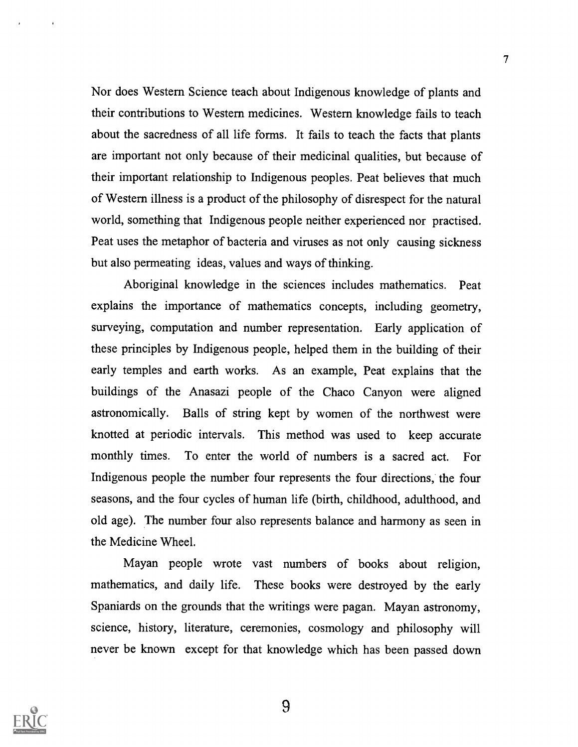Nor does Western Science teach about Indigenous knowledge of plants and their contributions to Western medicines. Western knowledge fails to teach about the sacredness of all life forms. It fails to teach the facts that plants are important not only because of their medicinal qualities, but because of their important relationship to Indigenous peoples. Peat believes that much of Western illness is a product of the philosophy of disrespect for the natural world, something that Indigenous people neither experienced nor practised. Peat uses the metaphor of bacteria and viruses as not only causing sickness but also permeating ideas, values and ways of thinking.

Aboriginal knowledge in the sciences includes mathematics. Peat explains the importance of mathematics concepts, including geometry, surveying, computation and number representation. Early application of these principles by Indigenous people, helped them in the building of their early temples and earth works. As an example, Peat explains that the buildings of the Anasazi people of the Chaco Canyon were aligned astronomically. Balls of string kept by women of the northwest were knotted at periodic intervals. This method was used to keep accurate monthly times. To enter the world of numbers is a sacred act. For Indigenous people the number four represents the four directions, the four seasons, and the four cycles of human life (birth, childhood, adulthood, and old age). The number four also represents balance and harmony as seen in the Medicine Wheel.

Mayan people wrote vast numbers of books about religion, mathematics, and daily life. These books were destroyed by the early Spaniards on the grounds that the writings were pagan. Mayan astronomy, science, history, literature, ceremonies, cosmology and philosophy will never be known except for that knowledge which has been passed down

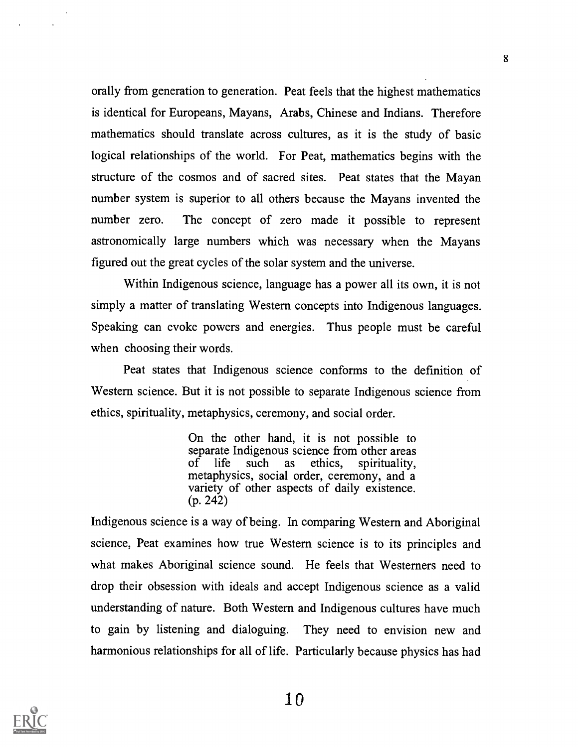orally from generation to generation. Peat feels that the highest mathematics is identical for Europeans, Mayans, Arabs, Chinese and Indians. Therefore mathematics should translate across cultures, as it is the study of basic logical relationships of the world. For Peat, mathematics begins with the structure of the cosmos and of sacred sites. Peat states that the Mayan number system is superior to all others because the Mayans invented the number zero. The concept of zero made it possible to represent astronomically large numbers which was necessary when the Mayans figured out the great cycles of the solar system and the universe.

Within Indigenous science, language has a power all its own, it is not simply a matter of translating Western concepts into Indigenous languages. Speaking can evoke powers and energies. Thus people must be careful when choosing their words.

Peat states that Indigenous science conforms to the defmition of Western science. But it is not possible to separate Indigenous science from ethics, spirituality, metaphysics, ceremony, and social order.

> On the other hand, it is not possible to separate Indigenous science from other areas of life such as ethics, spirituality, metaphysics, social order, ceremony, and a variety of other aspects of daily existence. (p. 242)

Indigenous science is a way of being. In comparing Western and Aboriginal science, Peat examines how true Western science is to its principles and what makes Aboriginal science sound. He feels that Westerners need to drop their obsession with ideals and accept Indigenous science as a valid understanding of nature. Both Western and Indigenous cultures have much to gain by listening and dialoguing. They need to envision new and harmonious relationships for all of life. Particularly because physics has had

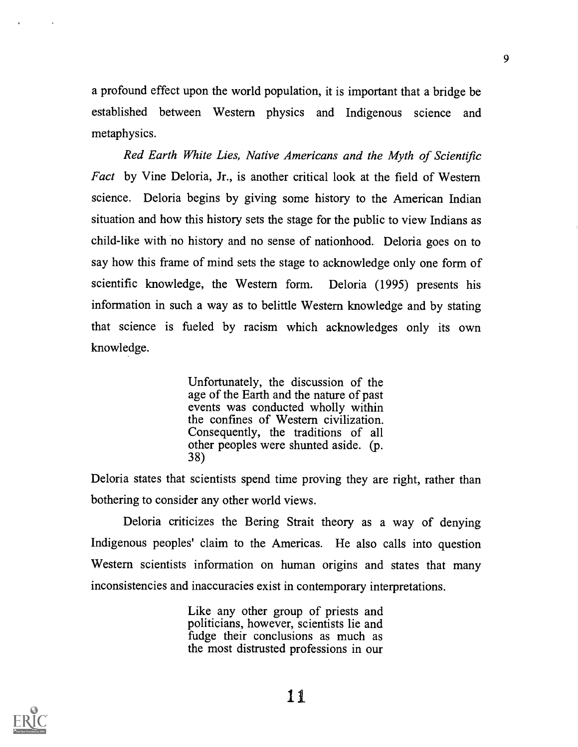a profound effect upon the world population, it is important that a bridge be established between Western physics and Indigenous science and metaphysics.

Red Earth White Lies, Native Americans and the Myth of Scientific Fact by Vine Deloria, Jr., is another critical look at the field of Western science. Deloria begins by giving some history to the American Indian situation and how this history sets the stage for the public to view Indians as child-like with no history and no sense of nationhood. Deloria goes on to say how this frame of mind sets the stage to acknowledge only one form of scientific knowledge, the Western form. Deloria (1995) presents his information in such a way as to belittle Western knowledge and by stating that science is fueled by racism which acknowledges only its own knowledge.

> Unfortunately, the discussion of the age of the Earth and the nature of past events was conducted wholly within the confmes of Western civilization. Consequently, the traditions of all other peoples were shunted aside. (p. 38)

Deloria states that scientists spend time proving they are right, rather than bothering to consider any other world views.

Deloria criticizes the Bering Strait theory as a way of denying Indigenous peoples' claim to the Americas. He also calls into question Western scientists information on human origins and states that many inconsistencies and inaccuracies exist in contemporary interpretations.

> Like any other group of priests and politicians, however, scientists lie and fudge their conclusions as much as the most distrusted professions in our

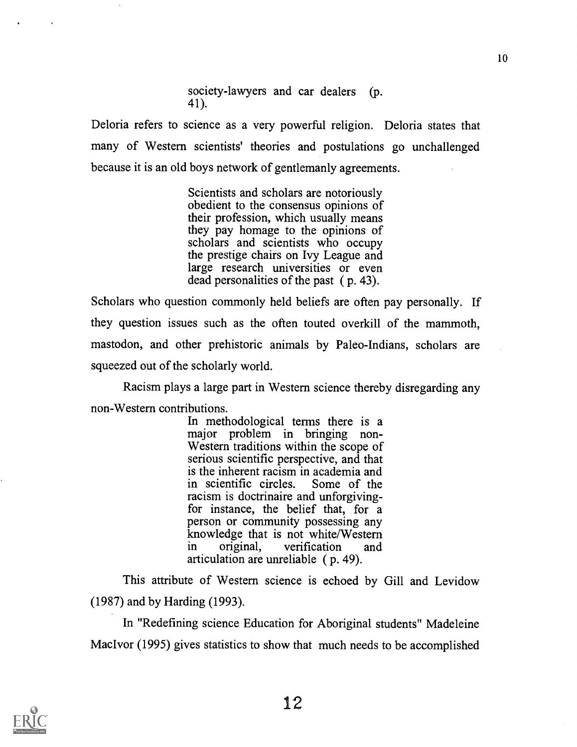society-lawyers and car dealers (p. 41).

Deloria refers to science as a very powerful religion. Deloria states that many of Western scientists' theories and postulations go unchallenged because it is an old boys network of gentlemanly agreements.

> Scientists and scholars are notoriously obedient to the consensus opinions of their profession, which usually means they pay homage to the opinions of scholars and scientists who occupy the prestige chairs on Ivy League and large research universities or even dead personalities of the past ( p. 43).

Scholars who question commonly held beliefs are often pay personally. If they question issues such as the often touted overkill of the mammoth, mastodon, and other prehistoric animals by Paleo-Indians, scholars are squeezed out of the scholarly world.

Racism plays a large part in Western science thereby disregarding any non-Western contributions.

In methodological terms there is a major problem in bringing non-Western traditions within the scope of serious scientific perspective, and that is the inherent racism in academia and<br>in scientific circles. Some of the in scientific circles. racism is doctrinaire and unforgivingfor instance, the belief that, for a person or community possessing any knowledge that is not white/Western<br>in original, verification and in original, verification and articulation are unreliable ( p. 49).

This attribute of Western science is echoed by Gill and Levidow (1987) and by Harding (1993).

In "Redefining science Education for Aboriginal students" Madeleine MacIvor (1995) gives statistics to show that much needs to be accomplished

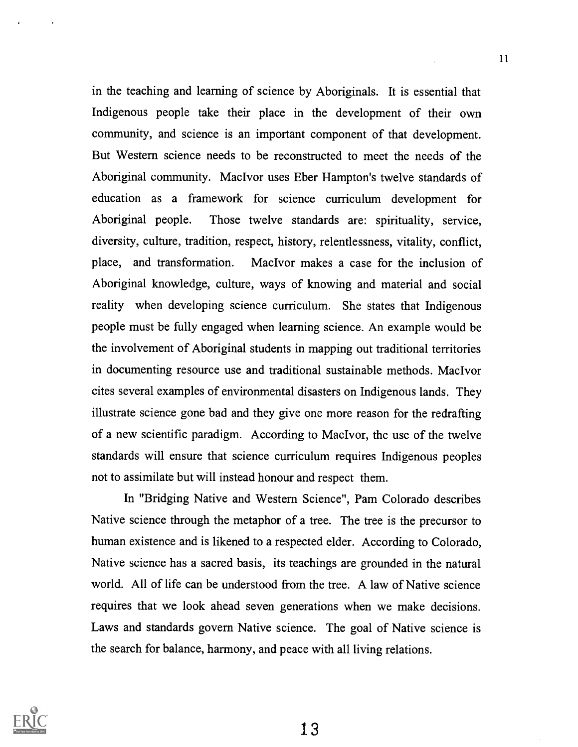in the teaching and learning of science by Aboriginals. It is essential that Indigenous people take their place in the development of their own community, and science is an important component of that development. But Western science needs to be reconstructed to meet the needs of the Aboriginal community. MacIvor uses Eber Hampton's twelve standards of education as a framework for science curriculum development for Aboriginal people. Those twelve standards are: spirituality, service, diversity, culture, tradition, respect, history, relentlessness, vitality, conflict, place, and transformation. Mac Ivor makes a case for the inclusion of Aboriginal knowledge, culture, ways of knowing and material and social reality when developing science curriculum. She states that Indigenous people must be fully engaged when learning science. An example would be the involvement of Aboriginal students in mapping out traditional territories in documenting resource use and traditional sustainable methods. MacIvor cites several examples of environmental disasters on Indigenous lands. They illustrate science gone bad and they give one more reason for the redraffing of a new scientific paradigm. According to MacIvor, the use of the twelve standards will ensure that science curriculum requires Indigenous peoples not to assimilate but will instead honour and respect them.

In "Bridging Native and Western Science", Pam Colorado describes Native science through the metaphor of a tree. The tree is the precursor to human existence and is likened to a respected elder. According to Colorado, Native science has a sacred basis, its teachings are grounded in the natural world. All of life can be understood from the tree. A law of Native science requires that we look ahead seven generations when we make decisions. Laws and standards govern Native science. The goal of Native science is the search for balance, harmony, and peace with all living relations.



11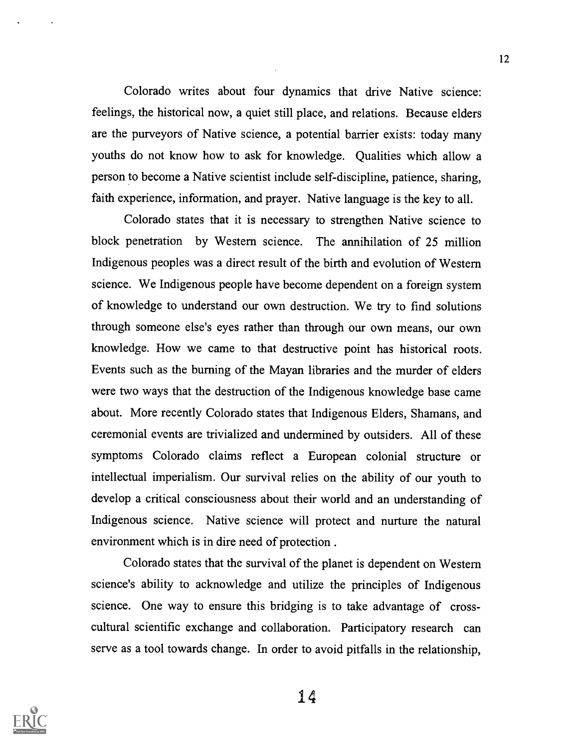Colorado writes about four dynamics that drive Native science: feelings, the historical now, a quiet still place, and relations. Because elders are the purveyors of Native science, a potential barrier exists: today many youths do not know how to ask for knowledge. Qualities which allow a person to become a Native scientist include self-discipline, patience, sharing, faith experience, information, and prayer. Native language is the key to all.

Colorado states that it is necessary to strengthen Native science to block penetration by Western science. The annihilation of 25 million Indigenous peoples was a direct result of the birth and evolution of Western science. We Indigenous people have become dependent on a foreign system of knowledge to understand our own destruction. We try to find solutions through someone else's eyes rather than through our own means, our own knowledge. How we came to that destructive point has historical roots. Events such as the burning of the Mayan libraries and the murder of elders were two ways that the destruction of the Indigenous knowledge base came about. More recently Colorado states that Indigenous Elders, Shamans, and ceremonial events are trivialized and undermined by outsiders. All of these symptoms Colorado claims reflect a European colonial structure or intellectual imperialism. Our survival relies on the ability of our youth to develop a critical consciousness about their world and an understanding of Indigenous science. Native science will protect and nurture the natural environment which is in dire need of protection .

Colorado states that the survival of the planet is dependent on Western science's ability to acknowledge and utilize the principles of Indigenous science. One way to ensure this bridging is to take advantage of crosscultural scientific exchange and collaboration. Participatory research can serve as a tool towards change. In order to avoid pitfalls in the relationship,

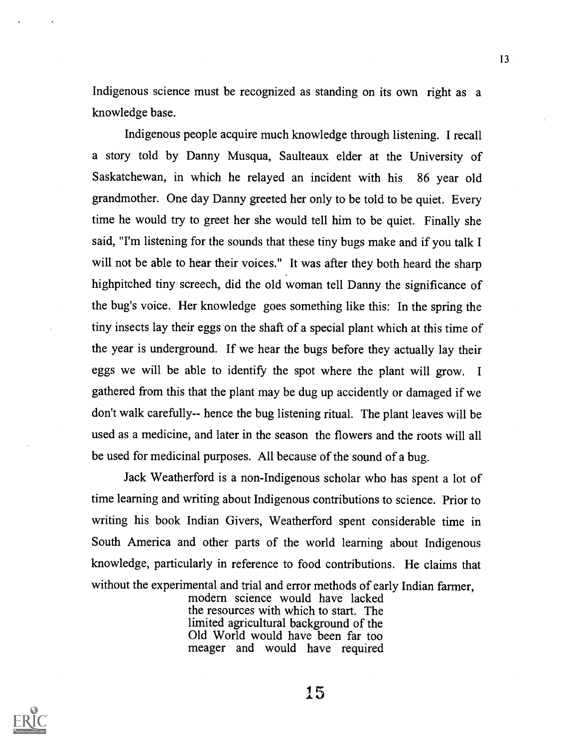Indigenous science must be recognized as standing on its own right as a knowledge base.

Indigenous people acquire much knowledge through listening. I recall a story told by Danny Musqua, Saulteaux elder at the University of Saskatchewan, in which he relayed an incident with his 86 year old grandmother. One day Danny greeted her only to be told to be quiet. Every time he would try to greet her she would tell him to be quiet. Finally she said, "I'm listening for the sounds that these tiny bugs make and if you talk I will not be able to hear their voices." It was after they both heard the sharp highpitched tiny screech, did the old woman tell Danny the significance of the bug's voice. Her knowledge goes something like this: In the spring the tiny insects lay their eggs on the shaft of a special plant which at this time of the year is underground. If we hear the bugs before they actually lay their eggs we will be able to identify the spot where the plant will grow. I gathered from this that the plant may be dug up accidently or damaged if we don't walk carefully-- hence the bug listening ritual. The plant leaves will be used as a medicine, and later in the season the flowers and the roots will all be used for medicinal purposes. All because of the sound of a bug.

Jack Weatherford is a non-Indigenous scholar who has spent a lot of time learning and writing about Indigenous contributions to science. Prior to writing his book Indian Givers, Weatherford spent considerable time in South America and other parts of the world learning about Indigenous knowledge, particularly in reference to food contributions. He claims that without the experimental and trial and error methods of early Indian farmer,

> modern science would have lacked the resources with which to start. The limited agricultural background of the Old World would have been far too meager and would have required

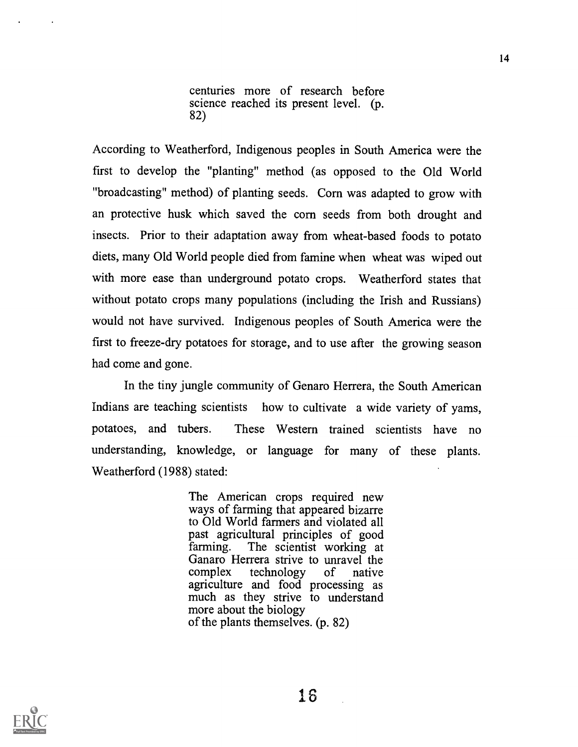centuries more of research before science reached its present level. (p. 82)

According to Weatherford, Indigenous peoples in South America were the first to develop the "planting" method (as opposed to the Old World "broadcasting" method) of planting seeds. Corn was adapted to grow with an protective husk which saved the corn seeds from both drought and insects. Prior to their adaptation away from wheat-based foods to potato diets, many Old World people died from famine when wheat was wiped out with more ease than underground potato crops. Weatherford states that without potato crops many populations (including the Irish and Russians) would not have survived. Indigenous peoples of South America were the first to freeze-dry potatoes for storage, and to use after the growing season had come and gone.

In the tiny jungle community of Genaro Herrera, the South American Indians are teaching scientists how to cultivate a wide variety of yams, potatoes, and tubers. These Western trained scientists have no understanding, knowledge, or language for many of these plants. Weatherford (1988) stated:

> The American crops required new ways of farming that appeared bizarre to Old World farmers and violated all past agricultural principles of good farming. The scientist working at Ganaro Herrera strive to unravel the<br>complex technology of native complex technology of native agriculture and food processing as much as they strive to understand more about the biology of the plants themselves. (p. 82)

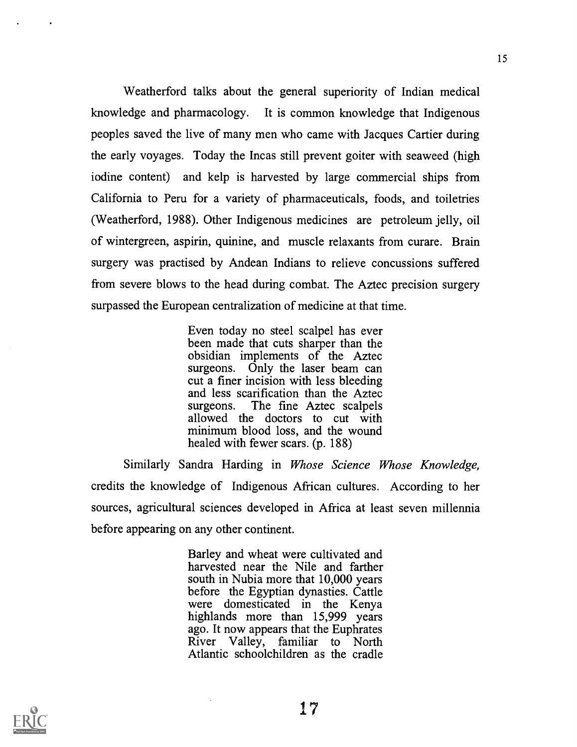Weatherford talks about the general superiority of Indian medical knowledge and pharmacology. It is common knowledge that Indigenous peoples saved the live of many men who came with Jacques Cartier during the early voyages. Today the Incas still prevent goiter with seaweed (high iodine content) and kelp is harvested by large commercial ships from California to Peru for a variety of pharmaceuticals, foods, and toiletries (Weatherford, 1988). Other Indigenous medicines are petroleum jelly, oil of wintergreen, aspirin, quinine, and muscle relaxants from curare. Brain surgery was practised by Andean Indians to relieve concussions suffered from severe blows to the head during combat. The Aztec precision surgery surpassed the European centralization of medicine at that time.

> Even today no steel scalpel has ever been made that cuts sharper than the obsidian implements of the Aztec surgeons. Only the laser beam can cut a finer incision with less bleeding and less scarification than the Aztec surgeons. The fine Aztec scalpels allowed the doctors to cut with minimum blood loss, and the wound healed with fewer scars. (p. 188)

Similarly Sandra Harding in Whose Science Whose Knowledge, credits the knowledge of Indigenous African cultures. According to her sources, agricultural sciences developed in Africa at least seven millennia before appearing on any other continent.

> Barley and wheat were cultivated and harvested near the Nile and farther south in Nubia more that 10,000 years before the Egyptian dynasties. Cattle were domesticated in the Kenya highlands more than 15,999 years ago. It now appears that the Euphrates River Valley, familiar to North Atlantic schoolchildren as the cradle

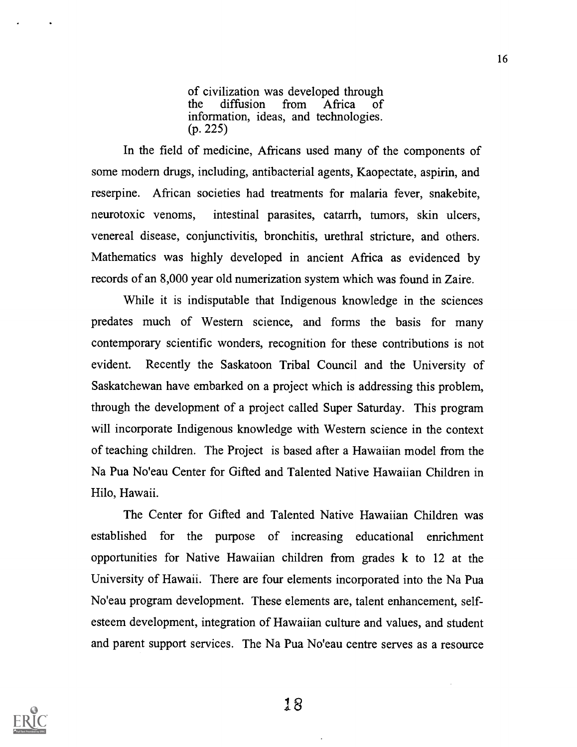of civilization was developed through<br>the diffusion from Africa of the diffusion from Africa of information, ideas, and technologies. (p. 225)

In the field of medicine, Africans used many of the components of some modern drugs, including, antibacterial agents, Kaopectate, aspirin, and reserpine. African societies had treatments for malaria fever, snakebite, neurotoxic venoms, intestinal parasites, catarrh, tumors, skin ulcers, venereal disease, conjunctivitis, bronchitis, urethral stricture, and others. Mathematics was highly developed in ancient Africa as evidenced by records of an 8,000 year old numerization system which was found in Zaire.

While it is indisputable that Indigenous knowledge in the sciences predates much of Western science, and forms the basis for many contemporary scientific wonders, recognition for these contributions is not evident. Recently the Saskatoon Tribal Council and the University of Saskatchewan have embarked on a project which is addressing this problem, through the development of a project called Super Saturday. This program will incorporate Indigenous knowledge with Western science in the context of teaching children. The Project is based after a Hawaiian model from the Na Pua No'eau Center for Gifted and Talented Native Hawaiian Children in Hilo, Hawaii.

The Center for Gifted and Talented Native Hawaiian Children was established for the purpose of increasing educational enrichment opportunities for Native Hawaiian children from grades k to 12 at the University of Hawaii. There are four elements incorporated into the Na Pua No'eau program development. These elements are, talent enhancement, selfesteem development, integration of Hawaiian culture and values, and student and parent support services. The Na Pua No'eau centre serves as a resource

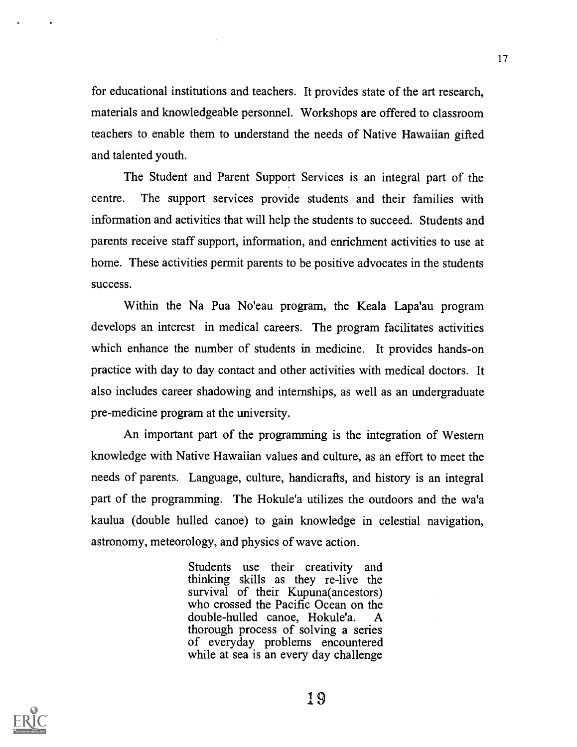for educational institutions and teachers. It provides state of the art research, materials and knowledgeable personnel. Workshops are offered to classroom teachers to enable them to understand the needs of Native Hawaiian gifted and talented youth.

The Student and Parent Support Services is an integral part of the centre. The support services provide students and their families with information and activities that will help the students to succeed. Students and parents receive staff support, information, and enrichment activities to use at home. These activities permit parents to be positive advocates in the students success.

Within the Na Pua No'eau program, the Keala Lapa'au program develops an interest in medical careers. The program facilitates activities which enhance the number of students in medicine. It provides hands-on practice with day to day contact and other activities with medical doctors. It also includes career shadowing and internships, as well as an undergraduate pre-medicine program at the university.

An important part of the programming is the integration of Western knowledge with Native Hawaiian values and culture, as an effort to meet the needs of parents. Language, culture, handicrafts, and history is an integral part of the programming. The Hokule'a utilizes the outdoors and the wa'a kaulua (double hulled canoe) to gain knowledge in celestial navigation, astronomy, meteorology, and physics of wave action.

> Students use their creativity and thinking skills as they re-live the survival of their Kupuna(ancestors) who crossed the Pacific Ocean on the double-hulled canoe, Hokule'a. A thorough process of solving a series of everyday problems encountered while at sea is an every day challenge

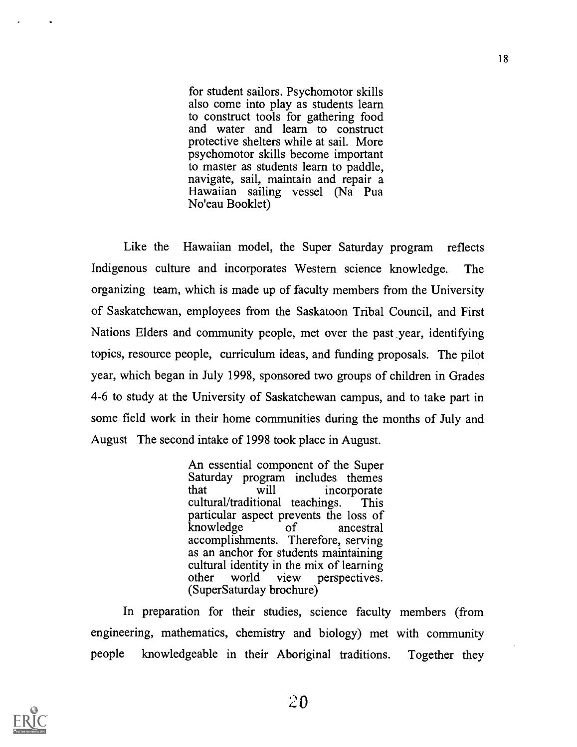for student sailors. Psychomotor skills also come into play as students learn to construct tools for gathering food and water and learn to construct protective shelters while at sail. More psychomotor skills become important to master as students learn to paddle, navigate, sail, maintain and repair a Hawaiian sailing vessel (Na Pua No'eau Booklet)

Like the Hawaiian model, the Super Saturday program reflects Indigenous culture and incorporates Western science knowledge. The organizing team, which is made up of faculty members from the University of Saskatchewan, employees from the Saskatoon Tribal Council, and First Nations Elders and community people, met over the past year, identifying topics, resource people, curriculum ideas, and funding proposals. The pilot year, which began in July 1998, sponsored two groups of children in Grades 4-6 to study at the University of Saskatchewan campus, and to take part in some field work in their home communities during the months of July and August The second intake of 1998 took place in August.

> An essential component of the Super Saturday program includes themes incorporate cultural/traditional teachings. This particular aspect prevents the loss of<br>knowledge of ancestral knowledge accomplishments. Therefore, serving as an anchor for students maintaining cultural identity in the mix of learning<br>other world view perspectives. other world view perspectives. (SuperSaturday brochure)

In preparation for their studies, science faculty members (from engineering, mathematics, chemistry and biology) met with community people knowledgeable in their Aboriginal traditions. Together they

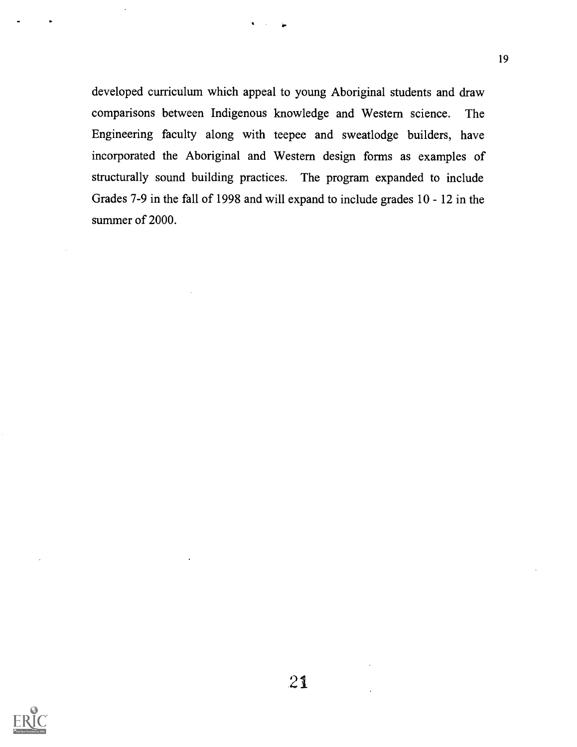developed curriculum which appeal to young Aboriginal students and draw comparisons between Indigenous knowledge and Western science. The Engineering faculty along with teepee and sweatlodge builders, have incorporated the Aboriginal and Western design forms as examples of structurally sound building practices. The program expanded to include Grades 7-9 in the fall of 1998 and will expand to include grades 10 - 12 in the summer of 2000.